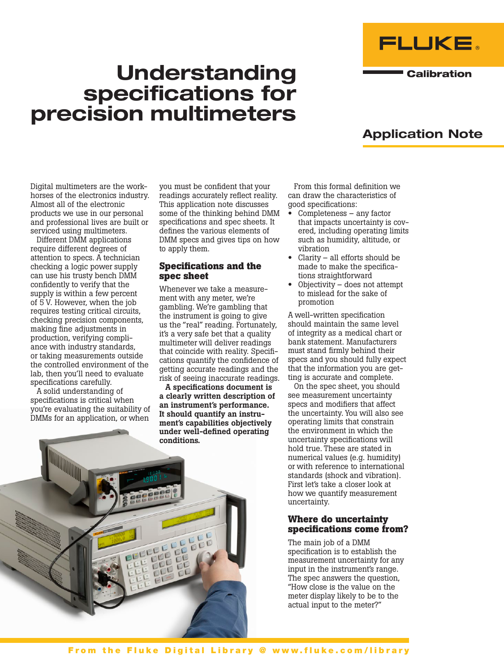



**Calibration** 

# Application Note

Digital multimeters are the workhorses of the electronics industry. Almost all of the electronic products we use in our personal and professional lives are built or serviced using multimeters.

Different DMM applications require different degrees of attention to specs. A technician checking a logic power supply can use his trusty bench DMM confidently to verify that the supply is within a few percent of 5 V. However, when the job requires testing critical circuits, checking precision components, making fine adjustments in production, verifying compliance with industry standards, or taking measurements outside the controlled environment of the lab, then you'll need to evaluate specifications carefully.

A solid understanding of specifications is critical when you're evaluating the suitability of DMMs for an application, or when

you must be confident that your readings accurately reflect reality. This application note discusses some of the thinking behind DMM specifications and spec sheets. It defines the various elements of DMM specs and gives tips on how to apply them.

## **Specifications and the spec sheet**

Whenever we take a measurement with any meter, we're gambling. We're gambling that the instrument is going to give us the "real" reading. Fortunately, it's a very safe bet that a quality multimeter will deliver readings that coincide with reality. Specifications quantify the confidence of getting accurate readings and the risk of seeing inaccurate readings.

A specifications document is a clearly written description of an instrument's performance. It should quantify an instrument's capabilities objectively under well-defined operating

From this formal definition we can draw the characteristics of good specifications:

- Completeness any factor that impacts uncertainty is covered, including operating limits such as humidity, altitude, or vibration
- Clarity  $-$  all efforts should be made to make the specifications straightforward
- Objectivity does not attempt to mislead for the sake of promotion

A well-written specification should maintain the same level of integrity as a medical chart or bank statement. Manufacturers must stand firmly behind their specs and you should fully expect that the information you are getting is accurate and complete.

On the spec sheet, you should see measurement uncertainty specs and modifiers that affect the uncertainty. You will also see operating limits that constrain the environment in which the uncertainty specifications will hold true. These are stated in numerical values (e.g. humidity) or with reference to international standards (shock and vibration). First let's take a closer look at how we quantify measurement uncertainty.

## **Where do uncertainty specifications come from?**

The main job of a DMM specification is to establish the measurement uncertainty for any input in the instrument's range. The spec answers the question, "How close is the value on the meter display likely to be to the actual input to the meter?"

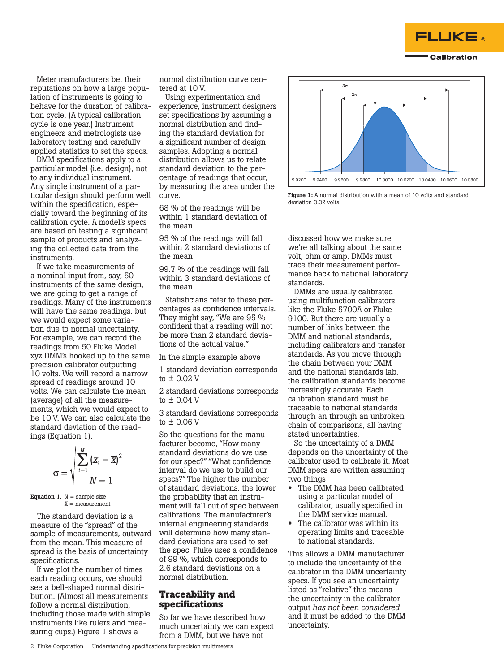

Meter manufacturers bet their reputations on how a large population of instruments is going to behave for the duration of calibration cycle. (A typical calibration cycle is one year.) Instrument engineers and metrologists use laboratory testing and carefully applied statistics to set the specs.

DMM specifications apply to a particular model (i.e. design), not to any individual instrument. Any single instrument of a particular design should perform well within the specification, especially toward the beginning of its calibration cycle. A model's specs are based on testing a significant sample of products and analyzing the collected data from the instruments.

If we take measurements of a nominal input from, say, 50 instruments of the same design, we are going to get a range of readings. Many of the instruments will have the same readings, but we would expect some variation due to normal uncertainty. For example, we can record the readings from 50 Fluke Model xyz DMM's hooked up to the same precision calibrator outputting 10 volts. We will record a narrow spread of readings around 10 volts. We can calculate the mean (average) of all the measurements, which we would expect to be 10 V. We can also calculate the standard deviation of the readings (Equation 1).

$$
\sigma = \sqrt{\frac{\sum_{i=1}^{N} (x_i - \overline{x})^2}{N-1}}
$$

**Equation 1.**  $N =$  sample size  $X = measurement$ 

The standard deviation is a measure of the "spread" of the sample of measurements, outward from the mean. This measure of spread is the basis of uncertainty specifications.

If we plot the number of times each reading occurs, we should see a bell-shaped normal distribution. (Almost all measurements follow a normal distribution, including those made with simple instruments like rulers and measuring cups.) Figure 1 shows a

normal distribution curve centered at 10 V.

Using experimentation and experience, instrument designers set specifications by assuming a normal distribution and finding the standard deviation for a significant number of design samples. Adopting a normal distribution allows us to relate standard deviation to the percentage of readings that occur, by measuring the area under the curve.

68 % of the readings will be within 1 standard deviation of the mean

95 % of the readings will fall within 2 standard deviations of the mean

99.7 % of the readings will fall within 3 standard deviations of the mean

Statisticians refer to these percentages as confidence intervals. They might say, "We are 95 % confident that a reading will not be more than 2 standard deviations of the actual value."

In the simple example above

1 standard deviation corresponds to ± 0.02 V

2 standard deviations corresponds to ± 0.04 V

3 standard deviations corresponds to ± 0.06 V

So the questions for the manufacturer become, "How many standard deviations do we use for our spec?" "What confidence interval do we use to build our specs?" The higher the number of standard deviations, the lower the probability that an instrument will fall out of spec between calibrations. The manufacturer's internal engineering standards will determine how many standard deviations are used to set the spec. Fluke uses a confidence of 99 %, which corresponds to 2.6 standard deviations on a normal distribution.

## **Traceability and specifications**

So far we have described how much uncertainty we can expect from a DMM, but we have not



Figure 1: A normal distribution with a mean of 10 volts and standard deviation 0.02 volts.

discussed how we make sure we're all talking about the same volt, ohm or amp. DMMs must trace their measurement performance back to national laboratory standards.

DMMs are usually calibrated using multifunction calibrators like the Fluke 5700A or Fluke 9100. But there are usually a number of links between the DMM and national standards, including calibrators and transfer standards. As you move through the chain between your DMM and the national standards lab, the calibration standards become increasingly accurate. Each calibration standard must be traceable to national standards through an through an unbroken chain of comparisons, all having stated uncertainties.

So the uncertainty of a DMM depends on the uncertainty of the calibrator used to calibrate it. Most DMM specs are written assuming two things:

- The DMM has been calibrated using a particular model of calibrator, usually specified in the DMM service manual.
- The calibrator was within its operating limits and traceable to national standards.

This allows a DMM manufacturer to include the uncertainty of the calibrator in the DMM uncertainty specs. If you see an uncertainty listed as "relative" this means the uncertainty in the calibrator output *has not been considered* and it must be added to the DMM uncertainty.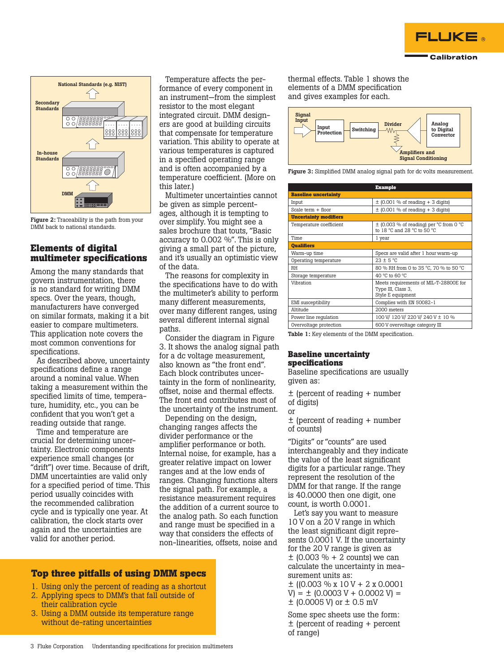



Figure 2: Traceability is the path from your DMM back to national standards.

## **Elements of digital multimeter specifications**

Among the many standards that govern instrumentation, there is no standard for writing DMM specs. Over the years, though, manufacturers have converged on similar formats, making it a bit easier to compare multimeters. This application note covers the most common conventions for specifications.

As described above, uncertainty specifications define a range around a nominal value. When taking a measurement within the specified limits of time, temperature, humidity, etc., you can be confident that you won't get a reading outside that range.

Time and temperature are crucial for determining uncertainty. Electronic components experience small changes (or "drift") over time. Because of drift, DMM uncertainties are valid only for a specified period of time. This period usually coincides with the recommended calibration cycle and is typically one year. At calibration, the clock starts over again and the uncertainties are valid for another period.

Temperature affects the performance of every component in an instrument—from the simplest resistor to the most elegant integrated circuit. DMM designers are good at building circuits that compensate for temperature variation. This ability to operate at various temperatures is captured in a specified operating range and is often accompanied by a temperature coefficient. (More on this later.)

Multimeter uncertainties cannot be given as simple percentages, although it is tempting to over simplify. You might see a sales brochure that touts, "Basic accuracy to 0.002 %". This is only giving a small part of the picture, and it's usually an optimistic view of the data.

The reasons for complexity in the specifications have to do with the multimeter's ability to perform many different measurements, over many different ranges, using several different internal signal paths.

Consider the diagram in Figure 3. It shows the analog signal path for a dc voltage measurement, also known as "the front end". Each block contributes uncertainty in the form of nonlinearity, offset, noise and thermal effects. The front end contributes most of the uncertainty of the instrument.

Depending on the design, changing ranges affects the divider performance or the amplifier performance or both. Internal noise, for example, has a greater relative impact on lower ranges and at the low ends of ranges. Changing functions alters the signal path. For example, a resistance measurement requires the addition of a current source to the analog path. So each function and range must be specified in a way that considers the effects of non-linearities, offsets, noise and

## **Top three pitfalls of using DMM specs**

- 1. Using only the percent of reading as a shortcut
- 2. Applying specs to DMM's that fall outside of their calibration cycle
- 3. Using a DMM outside its temperature range without de-rating uncertainties

thermal effects. Table 1 shows the elements of a DMM specification and gives examples for each.



Figure 3: Simplified DMM analog signal path for dc volts measurement.

|                              | <b>Example</b>                                                                                           |  |  |  |
|------------------------------|----------------------------------------------------------------------------------------------------------|--|--|--|
| <b>Baseline uncertainty</b>  |                                                                                                          |  |  |  |
| Input                        | $\pm$ (0.001 % of reading + 3 digits)                                                                    |  |  |  |
| Scale term $+$ floor         | $\pm$ (0.001 % of reading + 3 digits)                                                                    |  |  |  |
| <b>Uncertainty modifiers</b> |                                                                                                          |  |  |  |
| Temperature coefficient      | $\pm$ (0.003 % of reading) per °C from 0 °C<br>to 18 $^{\circ}$ C and 28 $^{\circ}$ C to 50 $^{\circ}$ C |  |  |  |
| Time                         | 1 year                                                                                                   |  |  |  |
| <b>Oualifiers</b>            |                                                                                                          |  |  |  |
| Warm-up time                 | Specs are valid after 1 hour warm-up                                                                     |  |  |  |
| Operating temperature        | $23 + 5$ °C                                                                                              |  |  |  |
| <b>RH</b>                    | 80 % RH from 0 to 35 °C, 70 % to 50 °C                                                                   |  |  |  |
| Storage temperature          | 40 °C to 60 °C                                                                                           |  |  |  |
| Vibration                    | Meets requirements of MIL-T-28800E for<br>Type III, Class 3,<br>Style E equipment                        |  |  |  |
| EMI susceptibility           | Complies with EN 50082-1                                                                                 |  |  |  |
| Altitude                     | 2000 meters                                                                                              |  |  |  |
| Power line regulation        | 100 V/ 120 V/ 220 V/ 240 V ± 10 %                                                                        |  |  |  |
| Overvoltage protection       | 600 V overvoltage category III                                                                           |  |  |  |

Table 1: Key elements of the DMM specification.

#### **Baseline uncertainty specifications**

Baseline specifications are usually given as:

± (percent of reading + number of digits) or

± (percent of reading + number of counts)

"Digits" or "counts" are used interchangeably and they indicate the value of the least significant digits for a particular range. They represent the resolution of the DMM for that range. If the range is 40.0000 then one digit, one count, is worth 0.0001.

Let's say you want to measure 10 V on a 20 V range in which the least significant digit represents 0.0001 V. If the uncertainty for the 20 V range is given as  $\pm$  (0.003 % + 2 counts) we can calculate the uncertainty in measurement units as:

 $\pm$  ((0.003 % x 10 V + 2 x 0.0001)  $V = \pm (0.0003 V + 0.0002 V) =$ ± (0.0005 V) or ± 0.5 mV

Some spec sheets use the form: ± (percent of reading + percent of range)